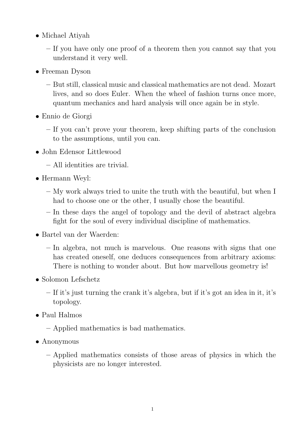- Michael Atiyah
	- If you have only one proof of a theorem then you cannot say that you understand it very well.
- Freeman Dyson
	- But still, classical music and classical mathematics are not dead. Mozart lives, and so does Euler. When the wheel of fashion turns once more, quantum mechanics and hard analysis will once again be in style.
- Ennio de Giorgi
	- If you can't prove your theorem, keep shifting parts of the conclusion to the assumptions, until you can.
- John Edensor Littlewood
	- All identities are trivial.
- Hermann Weyl:
	- My work always tried to unite the truth with the beautiful, but when I had to choose one or the other, I usually chose the beautiful.
	- In these days the angel of topology and the devil of abstract algebra fight for the soul of every individual discipline of mathematics.
- Bartel van der Waerden:
	- In algebra, not much is marvelous. One reasons with signs that one has created oneself, one deduces consequences from arbitrary axioms: There is nothing to wonder about. But how marvellous geometry is!
- Solomon Lefschetz
	- If it's just turning the crank it's algebra, but if it's got an idea in it, it's topology.
- Paul Halmos
	- Applied mathematics is bad mathematics.
- Anonymous
	- Applied mathematics consists of those areas of physics in which the physicists are no longer interested.